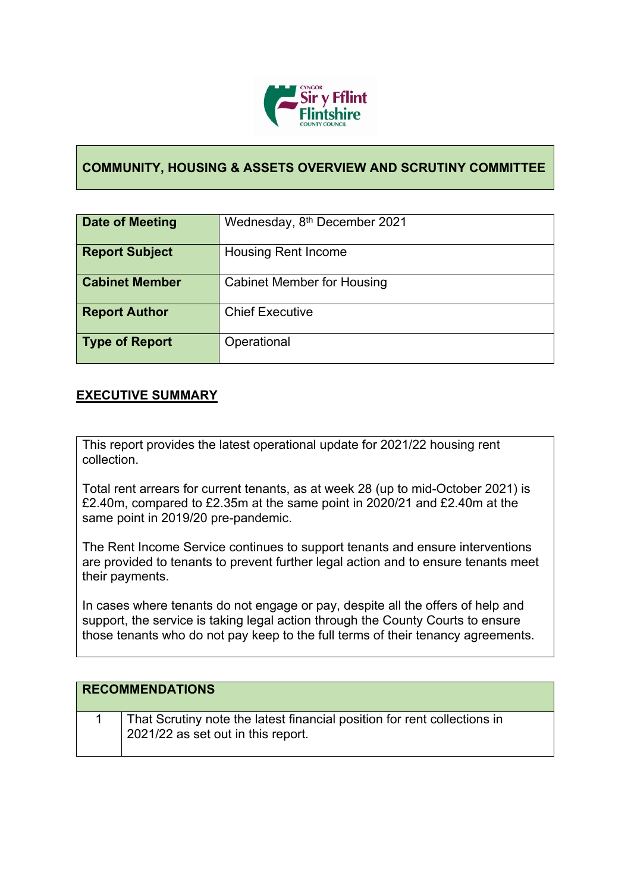

## **COMMUNITY, HOUSING & ASSETS OVERVIEW AND SCRUTINY COMMITTEE**

| Date of Meeting       | Wednesday, 8 <sup>th</sup> December 2021 |
|-----------------------|------------------------------------------|
| <b>Report Subject</b> | <b>Housing Rent Income</b>               |
| <b>Cabinet Member</b> | <b>Cabinet Member for Housing</b>        |
| <b>Report Author</b>  | <b>Chief Executive</b>                   |
| <b>Type of Report</b> | Operational                              |

## **EXECUTIVE SUMMARY**

This report provides the latest operational update for 2021/22 housing rent collection.

Total rent arrears for current tenants, as at week 28 (up to mid-October 2021) is £2.40m, compared to £2.35m at the same point in 2020/21 and £2.40m at the same point in 2019/20 pre-pandemic.

The Rent Income Service continues to support tenants and ensure interventions are provided to tenants to prevent further legal action and to ensure tenants meet their payments.

In cases where tenants do not engage or pay, despite all the offers of help and support, the service is taking legal action through the County Courts to ensure those tenants who do not pay keep to the full terms of their tenancy agreements.

| <b>RECOMMENDATIONS</b>                                                                                         |
|----------------------------------------------------------------------------------------------------------------|
| That Scrutiny note the latest financial position for rent collections in<br>2021/22 as set out in this report. |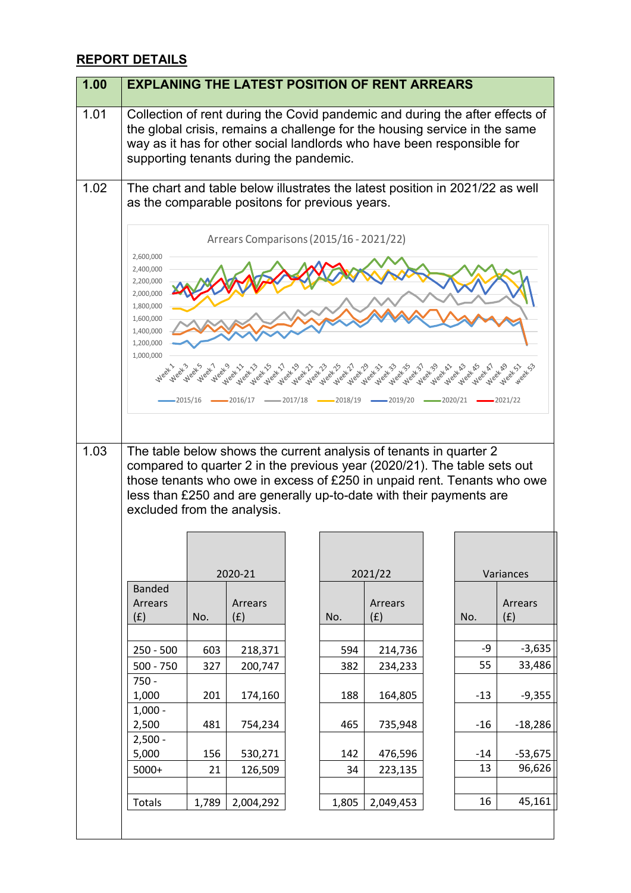## **REPORT DETAILS**

| 1.00 |                                                                                                                                                                                                                                                                                                                                                                                                                                                                                                                                                                                                                                                                                                                                                               |       |                |  |       | <b>EXPLANING THE LATEST POSITION OF RENT ARREARS</b>                                                                                                                                                                                 |       |                |
|------|---------------------------------------------------------------------------------------------------------------------------------------------------------------------------------------------------------------------------------------------------------------------------------------------------------------------------------------------------------------------------------------------------------------------------------------------------------------------------------------------------------------------------------------------------------------------------------------------------------------------------------------------------------------------------------------------------------------------------------------------------------------|-------|----------------|--|-------|--------------------------------------------------------------------------------------------------------------------------------------------------------------------------------------------------------------------------------------|-------|----------------|
| 1.01 | supporting tenants during the pandemic.                                                                                                                                                                                                                                                                                                                                                                                                                                                                                                                                                                                                                                                                                                                       |       |                |  |       | Collection of rent during the Covid pandemic and during the after effects of<br>the global crisis, remains a challenge for the housing service in the same<br>way as it has for other social landlords who have been responsible for |       |                |
| 1.02 | The chart and table below illustrates the latest position in 2021/22 as well<br>as the comparable positons for previous years.                                                                                                                                                                                                                                                                                                                                                                                                                                                                                                                                                                                                                                |       |                |  |       |                                                                                                                                                                                                                                      |       |                |
| 1.03 | Arrears Comparisons (2015/16 - 2021/22)<br>2,600,000<br>2,400,000<br>2,200,000<br>2,000,000<br>1,800,000<br>1,600,000<br>1,400,000<br>1,200,000<br>1,000,000<br>لله على المحصول على المحصول المحصول المحصر المحصول المحصول المحصول المحصول المحصول المحصول المحصول المحصول الم<br>المحصول المحصول المحصول المحصول المحصول المحصول المحصول المحصول المحصول المحصول المحصول المحصول المحصول المحصو<br>Weekho<br>Weekh3<br>Weeklys<br><b>ST Week A!</b><br>Week AT<br>Week SI<br>Week-39<br>Week<br>$\sim$ 2017/18 $\sim$ 2018/19 $\sim$ 2019/20 $\sim$ 2020/21 $\sim$ 2021/22<br>$-2015/16$ $-$<br>$-2016/17$<br>The table below shows the current analysis of tenants in quarter 2<br>compared to quarter 2 in the previous year (2020/21). The table sets out |       |                |  |       |                                                                                                                                                                                                                                      |       |                |
|      | those tenants who owe in excess of £250 in unpaid rent. Tenants who owe<br>less than £250 and are generally up-to-date with their payments are<br>excluded from the analysis.                                                                                                                                                                                                                                                                                                                                                                                                                                                                                                                                                                                 |       |                |  |       |                                                                                                                                                                                                                                      |       |                |
|      |                                                                                                                                                                                                                                                                                                                                                                                                                                                                                                                                                                                                                                                                                                                                                               |       | 2020-21        |  |       | 2021/22                                                                                                                                                                                                                              |       | Variances      |
|      | <b>Banded</b><br>Arrears<br>(f)                                                                                                                                                                                                                                                                                                                                                                                                                                                                                                                                                                                                                                                                                                                               | No.   | Arrears<br>(f) |  | No.   | Arrears<br>(f)                                                                                                                                                                                                                       | No.   | Arrears<br>(f) |
|      |                                                                                                                                                                                                                                                                                                                                                                                                                                                                                                                                                                                                                                                                                                                                                               |       |                |  |       |                                                                                                                                                                                                                                      |       |                |
|      | $250 - 500$                                                                                                                                                                                                                                                                                                                                                                                                                                                                                                                                                                                                                                                                                                                                                   | 603   | 218,371        |  | 594   | 214,736                                                                                                                                                                                                                              | -9    | $-3,635$       |
|      | $500 - 750$                                                                                                                                                                                                                                                                                                                                                                                                                                                                                                                                                                                                                                                                                                                                                   | 327   | 200,747        |  | 382   | 234,233                                                                                                                                                                                                                              | 55    | 33,486         |
|      | $750 -$<br>1,000                                                                                                                                                                                                                                                                                                                                                                                                                                                                                                                                                                                                                                                                                                                                              | 201   | 174,160        |  | 188   | 164,805                                                                                                                                                                                                                              | $-13$ | $-9,355$       |
|      | $1,000 -$<br>2,500<br>$2,500 -$                                                                                                                                                                                                                                                                                                                                                                                                                                                                                                                                                                                                                                                                                                                               | 481   | 754,234        |  | 465   | 735,948                                                                                                                                                                                                                              | $-16$ | $-18,286$      |
|      | 5,000                                                                                                                                                                                                                                                                                                                                                                                                                                                                                                                                                                                                                                                                                                                                                         | 156   | 530,271        |  | 142   | 476,596                                                                                                                                                                                                                              | $-14$ | $-53,675$      |
|      | $5000+$                                                                                                                                                                                                                                                                                                                                                                                                                                                                                                                                                                                                                                                                                                                                                       | 21    | 126,509        |  | 34    | 223,135                                                                                                                                                                                                                              | 13    | 96,626         |
|      |                                                                                                                                                                                                                                                                                                                                                                                                                                                                                                                                                                                                                                                                                                                                                               |       |                |  |       |                                                                                                                                                                                                                                      |       |                |
|      | Totals                                                                                                                                                                                                                                                                                                                                                                                                                                                                                                                                                                                                                                                                                                                                                        | 1,789 | 2,004,292      |  | 1,805 | 2,049,453                                                                                                                                                                                                                            | 16    | 45,161         |
|      |                                                                                                                                                                                                                                                                                                                                                                                                                                                                                                                                                                                                                                                                                                                                                               |       |                |  |       |                                                                                                                                                                                                                                      |       |                |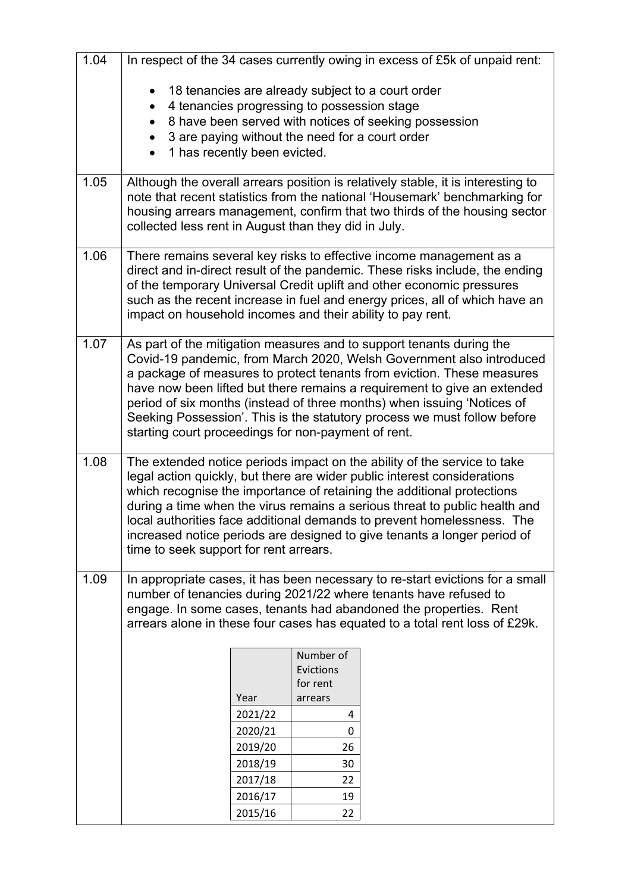| 1.04 |                                                                     |                    |                                             | In respect of the 34 cases currently owing in excess of £5k of unpaid rent:                                                                                                                                                                                                                                                                                                                                                                                        |
|------|---------------------------------------------------------------------|--------------------|---------------------------------------------|--------------------------------------------------------------------------------------------------------------------------------------------------------------------------------------------------------------------------------------------------------------------------------------------------------------------------------------------------------------------------------------------------------------------------------------------------------------------|
|      | $\bullet$<br>$\bullet$<br>$\bullet$<br>1 has recently been evicted. |                    | 4 tenancies progressing to possession stage | 18 tenancies are already subject to a court order<br>8 have been served with notices of seeking possession<br>3 are paying without the need for a court order                                                                                                                                                                                                                                                                                                      |
| 1.05 | collected less rent in August than they did in July.                |                    |                                             | Although the overall arrears position is relatively stable, it is interesting to<br>note that recent statistics from the national 'Housemark' benchmarking for<br>housing arrears management, confirm that two thirds of the housing sector                                                                                                                                                                                                                        |
| 1.06 | impact on household incomes and their ability to pay rent.          |                    |                                             | There remains several key risks to effective income management as a<br>direct and in-direct result of the pandemic. These risks include, the ending<br>of the temporary Universal Credit uplift and other economic pressures<br>such as the recent increase in fuel and energy prices, all of which have an                                                                                                                                                        |
| 1.07 | starting court proceedings for non-payment of rent.                 |                    |                                             | As part of the mitigation measures and to support tenants during the<br>Covid-19 pandemic, from March 2020, Welsh Government also introduced<br>a package of measures to protect tenants from eviction. These measures<br>have now been lifted but there remains a requirement to give an extended<br>period of six months (instead of three months) when issuing 'Notices of<br>Seeking Possession'. This is the statutory process we must follow before          |
| 1.08 | time to seek support for rent arrears.                              |                    |                                             | The extended notice periods impact on the ability of the service to take<br>legal action quickly, but there are wider public interest considerations<br>which recognise the importance of retaining the additional protections<br>during a time when the virus remains a serious threat to public health and<br>local authorities face additional demands to prevent homelessness. The<br>increased notice periods are designed to give tenants a longer period of |
| 1.09 |                                                                     |                    |                                             | In appropriate cases, it has been necessary to re-start evictions for a small<br>number of tenancies during 2021/22 where tenants have refused to<br>engage. In some cases, tenants had abandoned the properties. Rent<br>arrears alone in these four cases has equated to a total rent loss of £29k.                                                                                                                                                              |
|      |                                                                     |                    | Number of<br>Evictions                      |                                                                                                                                                                                                                                                                                                                                                                                                                                                                    |
|      |                                                                     | Year               | for rent<br>arrears                         |                                                                                                                                                                                                                                                                                                                                                                                                                                                                    |
|      |                                                                     | 2021/22            | 4                                           |                                                                                                                                                                                                                                                                                                                                                                                                                                                                    |
|      |                                                                     | 2020/21            | 0                                           |                                                                                                                                                                                                                                                                                                                                                                                                                                                                    |
|      |                                                                     | 2019/20            | 26                                          |                                                                                                                                                                                                                                                                                                                                                                                                                                                                    |
|      |                                                                     | 2018/19            | 30                                          |                                                                                                                                                                                                                                                                                                                                                                                                                                                                    |
|      |                                                                     | 2017/18<br>2016/17 | 22<br>19                                    |                                                                                                                                                                                                                                                                                                                                                                                                                                                                    |
|      |                                                                     | 2015/16            | 22                                          |                                                                                                                                                                                                                                                                                                                                                                                                                                                                    |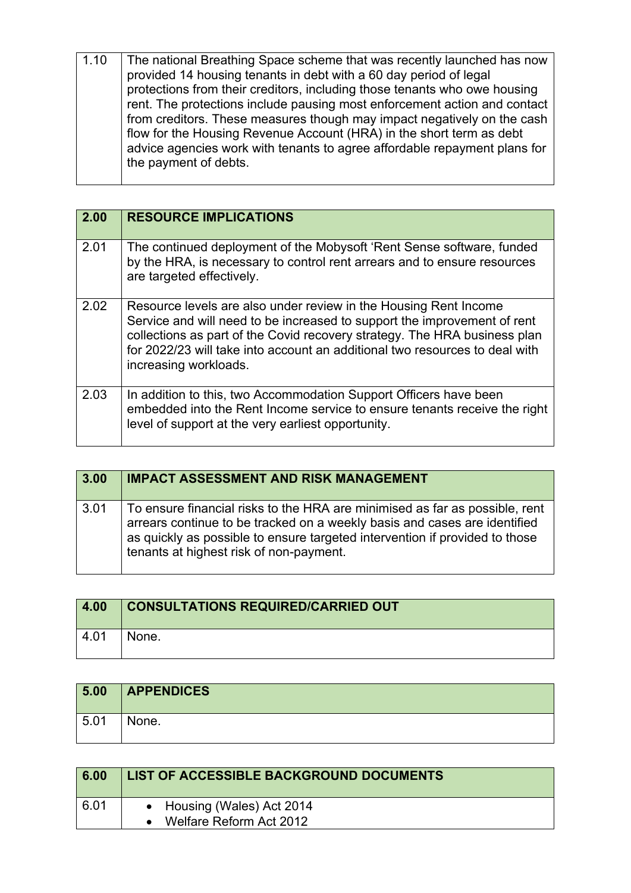| The national Breathing Space scheme that was recently launched has now    |
|---------------------------------------------------------------------------|
|                                                                           |
| protections from their creditors, including those tenants who owe housing |
| rent. The protections include pausing most enforcement action and contact |
| from creditors. These measures though may impact negatively on the cash   |
| flow for the Housing Revenue Account (HRA) in the short term as debt      |
| advice agencies work with tenants to agree affordable repayment plans for |
|                                                                           |
|                                                                           |

| 2.00 | <b>RESOURCE IMPLICATIONS</b>                                                                                                                                                                                                                                                                                                      |
|------|-----------------------------------------------------------------------------------------------------------------------------------------------------------------------------------------------------------------------------------------------------------------------------------------------------------------------------------|
| 2.01 | The continued deployment of the Mobysoft 'Rent Sense software, funded<br>by the HRA, is necessary to control rent arrears and to ensure resources<br>are targeted effectively.                                                                                                                                                    |
| 2.02 | Resource levels are also under review in the Housing Rent Income<br>Service and will need to be increased to support the improvement of rent<br>collections as part of the Covid recovery strategy. The HRA business plan<br>for 2022/23 will take into account an additional two resources to deal with<br>increasing workloads. |
| 2.03 | In addition to this, two Accommodation Support Officers have been<br>embedded into the Rent Income service to ensure tenants receive the right<br>level of support at the very earliest opportunity.                                                                                                                              |

| 3.00 | <b>IMPACT ASSESSMENT AND RISK MANAGEMENT</b>                                                                                                                                                                                                                                       |
|------|------------------------------------------------------------------------------------------------------------------------------------------------------------------------------------------------------------------------------------------------------------------------------------|
| 3.01 | To ensure financial risks to the HRA are minimised as far as possible, rent<br>arrears continue to be tracked on a weekly basis and cases are identified<br>as quickly as possible to ensure targeted intervention if provided to those<br>tenants at highest risk of non-payment. |

| 4.00 | <b>CONSULTATIONS REQUIRED/CARRIED OUT</b> |
|------|-------------------------------------------|
| 4.01 | None.                                     |

| 5.00 | <b>APPENDICES</b> |
|------|-------------------|
| 5.01 | None.             |

| 6.00 | LIST OF ACCESSIBLE BACKGROUND DOCUMENTS |  |
|------|-----------------------------------------|--|
| 6.01 | • Housing (Wales) Act 2014              |  |
|      | Welfare Reform Act 2012                 |  |